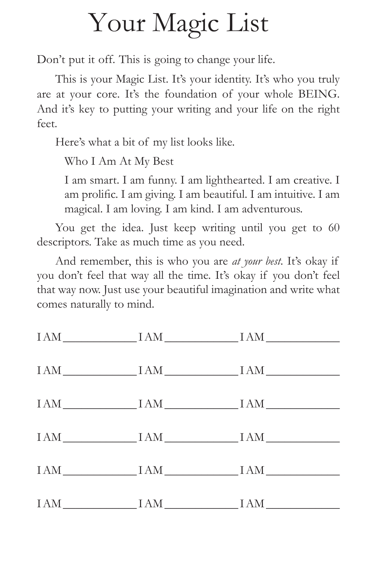## Your Magic List

Don't put it off. This is going to change your life.

This is your Magic List. It's your identity. It's who you truly are at your core. It's the foundation of your whole BEING. And it's key to putting your writing and your life on the right feet.

Here's what a bit of my list looks like.

Who I Am At My Best

I am smart. I am funny. I am lighthearted. I am creative. I am prolific. I am giving. I am beautiful. I am intuitive. I am magical. I am loving. I am kind. I am adventurous.

You get the idea. Just keep writing until you get to 60 descriptors. Take as much time as you need.

And remember, this is who you are *at your best*. It's okay if you don't feel that way all the time. It's okay if you don't feel that way now. Just use your beautiful imagination and write what comes naturally to mind.

|  | $IAM \underline{\hspace{2cm}} IAM \underline{\hspace{2cm}} IAM \underline{\hspace{2cm}} IAM \underline{\hspace{2cm}} IAM \underline{\hspace{2cm}} IAM \underline{\hspace{2cm}} IAM \underline{\hspace{2cm}} IAM \underline{\hspace{2cm}} IAM \underline{\hspace{2cm}} IAM \underline{\hspace{2cm}} IAM \underline{\hspace{2cm}} IAM \underline{\hspace{2cm}} IAM \underline{\hspace{2cm}} IAM \underline{\hspace{2cm}} IAM \underline{\hspace{2cm}} IAM \underline{\hspace{2cm}} IAM \underline{\hspace{2cm}} IAM \underline{\hspace{2cm}} IAM \underline{\hspace{2cm}} IAM \underline{\hspace{2cm}}$ |
|--|-------------------------------------------------------------------------------------------------------------------------------------------------------------------------------------------------------------------------------------------------------------------------------------------------------------------------------------------------------------------------------------------------------------------------------------------------------------------------------------------------------------------------------------------------------------------------------------------------------|
|  | $IAM \underline{\hspace{2cm}} IAM \underline{\hspace{2cm}} IAM \underline{\hspace{2cm}} IAM \underline{\hspace{2cm}} IAM \underline{\hspace{2cm}} IAM \underline{\hspace{2cm}} IAM \underline{\hspace{2cm}} IAM \underline{\hspace{2cm}} IAM \underline{\hspace{2cm}} IAM \underline{\hspace{2cm}} IAM \underline{\hspace{2cm}} IAM \underline{\hspace{2cm}} IAM \underline{\hspace{2cm}} IAM \underline{\hspace{2cm}} IAM \underline{\hspace{2cm}} IAM \underline{\hspace{2cm}} IAM \underline{\hspace{2cm}} IAM \underline{\hspace{2cm}} IAM \underline{\hspace{2cm}} IAM \underline{\hspace{2cm}}$ |
|  | $IAM \underline{\hspace{2cm}} IAM \underline{\hspace{2cm}} IAM \underline{\hspace{2cm}} IAM \underline{\hspace{2cm}} IAM \underline{\hspace{2cm}} IAM \underline{\hspace{2cm}} IAM \underline{\hspace{2cm}} IAM \underline{\hspace{2cm}} IAM \underline{\hspace{2cm}} IAM \underline{\hspace{2cm}} IAM \underline{\hspace{2cm}} IAM \underline{\hspace{2cm}} IAM \underline{\hspace{2cm}} IAM \underline{\hspace{2cm}} IAM \underline{\hspace{2cm}} IAM \underline{\hspace{2cm}} IAM \underline{\hspace{2cm}} IAM \underline{\hspace{2cm}} IAM \underline{\hspace{2cm}} IAM \underline{\hspace{2cm}}$ |
|  | $IAM$ $IAM$ $IAM$ $IAM$ $IAM$                                                                                                                                                                                                                                                                                                                                                                                                                                                                                                                                                                         |
|  | $IAM$ $IAM$ $IAM$ $IAM$                                                                                                                                                                                                                                                                                                                                                                                                                                                                                                                                                                               |
|  | $IAM \underline{\hspace{2cm}} IAM \underline{\hspace{2cm}} IAM \underline{\hspace{2cm}} IAM \underline{\hspace{2cm}} IAM \underline{\hspace{2cm}} IAM \underline{\hspace{2cm}} IAM \underline{\hspace{2cm}} IAM \underline{\hspace{2cm}} IAM \underline{\hspace{2cm}} IAM \underline{\hspace{2cm}} IAM \underline{\hspace{2cm}} IAM \underline{\hspace{2cm}} IAM \underline{\hspace{2cm}} IAM \underline{\hspace{2cm}} IAM \underline{\hspace{2cm}} IAM \underline{\hspace{2cm}} IAM \underline{\hspace{2cm}} IAM \underline{\hspace{2cm}} IAM \underline{\hspace{2cm}} IAM \underline{\hspace{2cm}}$ |